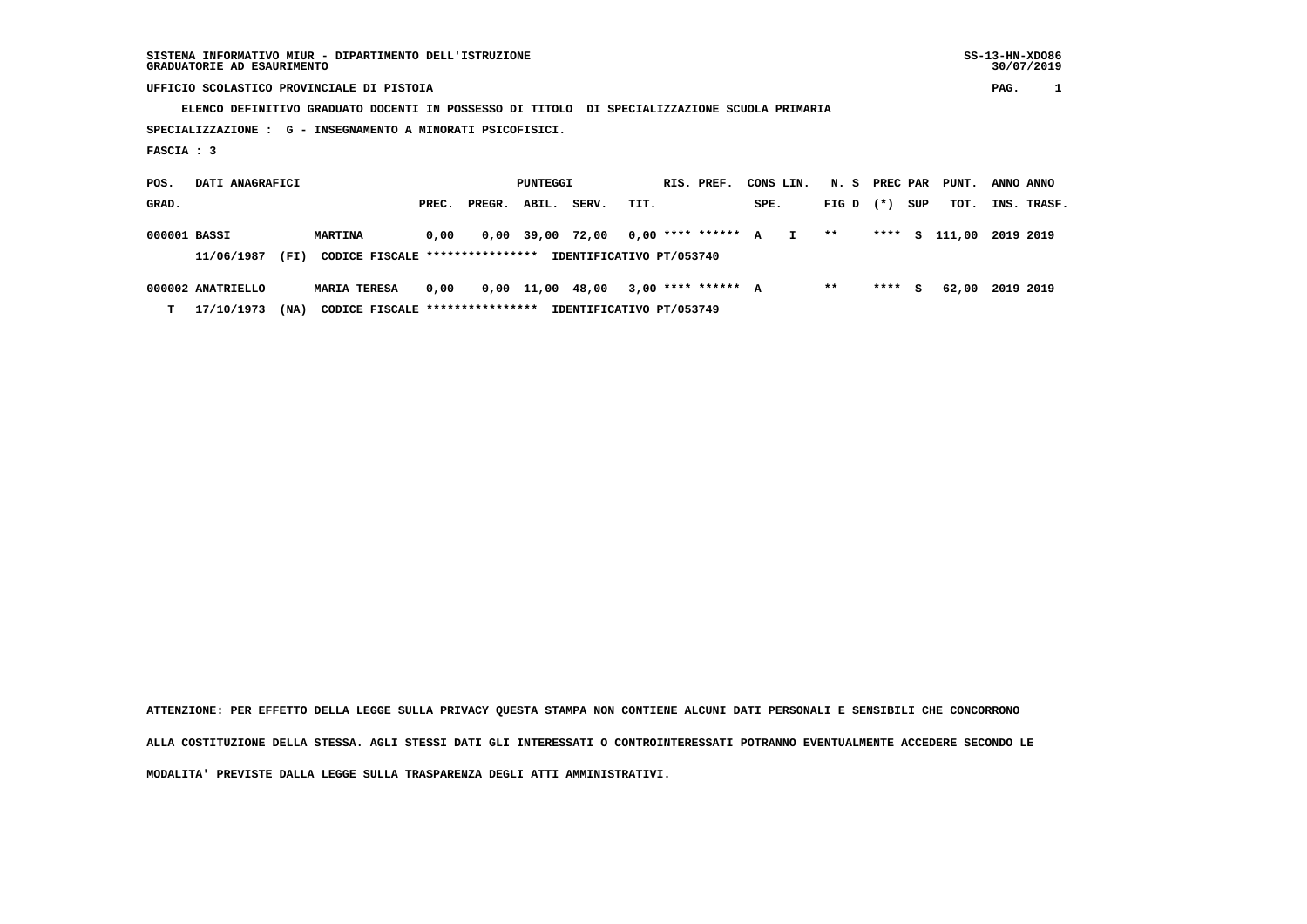## **UFFICIO SCOLASTICO PROVINCIALE DI PISTOIA PAG. 1**

 **ELENCO DEFINITIVO GRADUATO DOCENTI IN POSSESSO DI TITOLO DI SPECIALIZZAZIONE SCUOLA PRIMARIA**

 **SPECIALIZZAZIONE : G - INSEGNAMENTO A MINORATI PSICOFISICI.**

 **FASCIA : 3**

 **POS. DATI ANAGRAFICI PUNTEGGI RIS. PREF. CONS LIN. N. S PREC PAR PUNT. ANNO ANNO**GRAD. **BRAD. PREC. PREGR. ABIL. SERV. TIT.** SPE. FIG D (\*) SUP TOT. INS. TRASF.  **000001 BASSI MARTINA 0,00 0,00 39,00 72,00 0,00 \*\*\*\* \*\*\*\*\*\* A I \*\* \*\*\*\* S 111,00 2019 2019 11/06/1987 (FI) CODICE FISCALE \*\*\*\*\*\*\*\*\*\*\*\*\*\*\*\* IDENTIFICATIVO PT/053740 000002 ANATRIELLO MARIA TERESA 0,00 0,00 11,00 48,00 3,00 \*\*\*\* \*\*\*\*\*\* A \*\* \*\*\*\* S 62,00 2019 2019**

 **T 17/10/1973 (NA) CODICE FISCALE \*\*\*\*\*\*\*\*\*\*\*\*\*\*\*\* IDENTIFICATIVO PT/053749**

 **ATTENZIONE: PER EFFETTO DELLA LEGGE SULLA PRIVACY QUESTA STAMPA NON CONTIENE ALCUNI DATI PERSONALI E SENSIBILI CHE CONCORRONO ALLA COSTITUZIONE DELLA STESSA. AGLI STESSI DATI GLI INTERESSATI O CONTROINTERESSATI POTRANNO EVENTUALMENTE ACCEDERE SECONDO LE**

 **MODALITA' PREVISTE DALLA LEGGE SULLA TRASPARENZA DEGLI ATTI AMMINISTRATIVI.**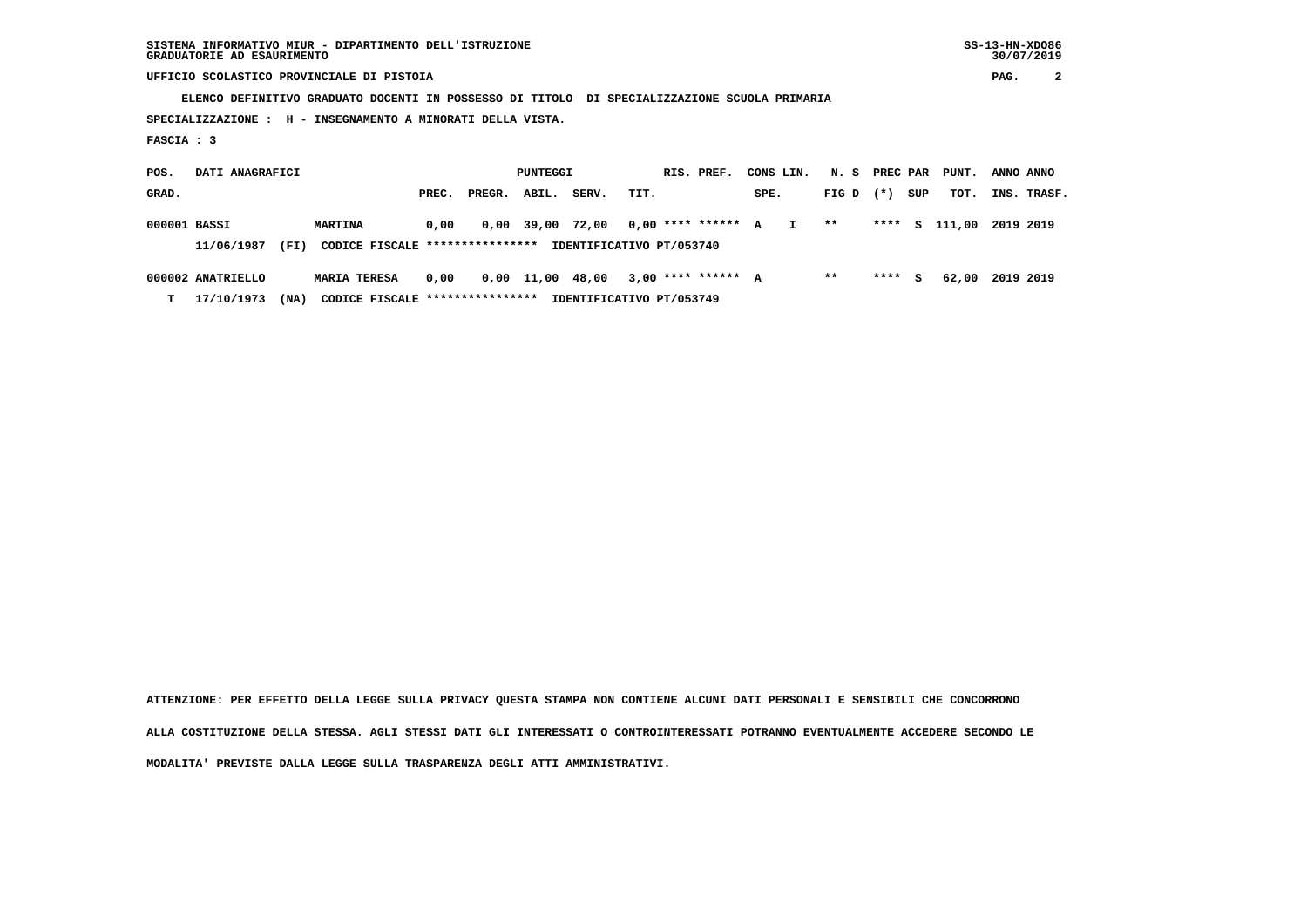## **UFFICIO SCOLASTICO PROVINCIALE DI PISTOIA PAG. 2**

 **ELENCO DEFINITIVO GRADUATO DOCENTI IN POSSESSO DI TITOLO DI SPECIALIZZAZIONE SCUOLA PRIMARIA**

 **SPECIALIZZAZIONE : H - INSEGNAMENTO A MINORATI DELLA VISTA.**

 **FASCIA : 3**

| POS.         | DATI ANAGRAFICI                                                                   |                     | PUNTEGGI |        |                  |       |      |  | RIS. PREF.           | CONS LIN. |              |             | N. S PREC PAR |     | PUNT.         | ANNO ANNO |             |
|--------------|-----------------------------------------------------------------------------------|---------------------|----------|--------|------------------|-------|------|--|----------------------|-----------|--------------|-------------|---------------|-----|---------------|-----------|-------------|
| GRAD.        |                                                                                   |                     | PREC.    | PREGR. | ABIL.            | SERV. | TIT. |  |                      | SPE.      |              | FIG D $(*)$ |               | SUP | тот.          |           | INS. TRASF. |
| 000001 BASSI |                                                                                   | <b>MARTINA</b>      | 0.00     |        | 0,00 39,00       | 72,00 |      |  | $0.00$ **** ****** A |           | $\mathbf{I}$ | $***$       |               |     | **** S 111,00 | 2019 2019 |             |
|              | CODICE FISCALE ****************<br>IDENTIFICATIVO PT/053740<br>11/06/1987<br>(FI) |                     |          |        |                  |       |      |  |                      |           |              |             |               |     |               |           |             |
|              | 000002 ANATRIELLO                                                                 | <b>MARIA TERESA</b> | 0,00     |        | 0,00 11,00 48,00 |       |      |  | 3,00 **** ****** A   |           |              | **          | ****          | S.  | 62,00         | 2019 2019 |             |

 **T 17/10/1973 (NA) CODICE FISCALE \*\*\*\*\*\*\*\*\*\*\*\*\*\*\*\* IDENTIFICATIVO PT/053749**

 **ATTENZIONE: PER EFFETTO DELLA LEGGE SULLA PRIVACY QUESTA STAMPA NON CONTIENE ALCUNI DATI PERSONALI E SENSIBILI CHE CONCORRONO ALLA COSTITUZIONE DELLA STESSA. AGLI STESSI DATI GLI INTERESSATI O CONTROINTERESSATI POTRANNO EVENTUALMENTE ACCEDERE SECONDO LE MODALITA' PREVISTE DALLA LEGGE SULLA TRASPARENZA DEGLI ATTI AMMINISTRATIVI.**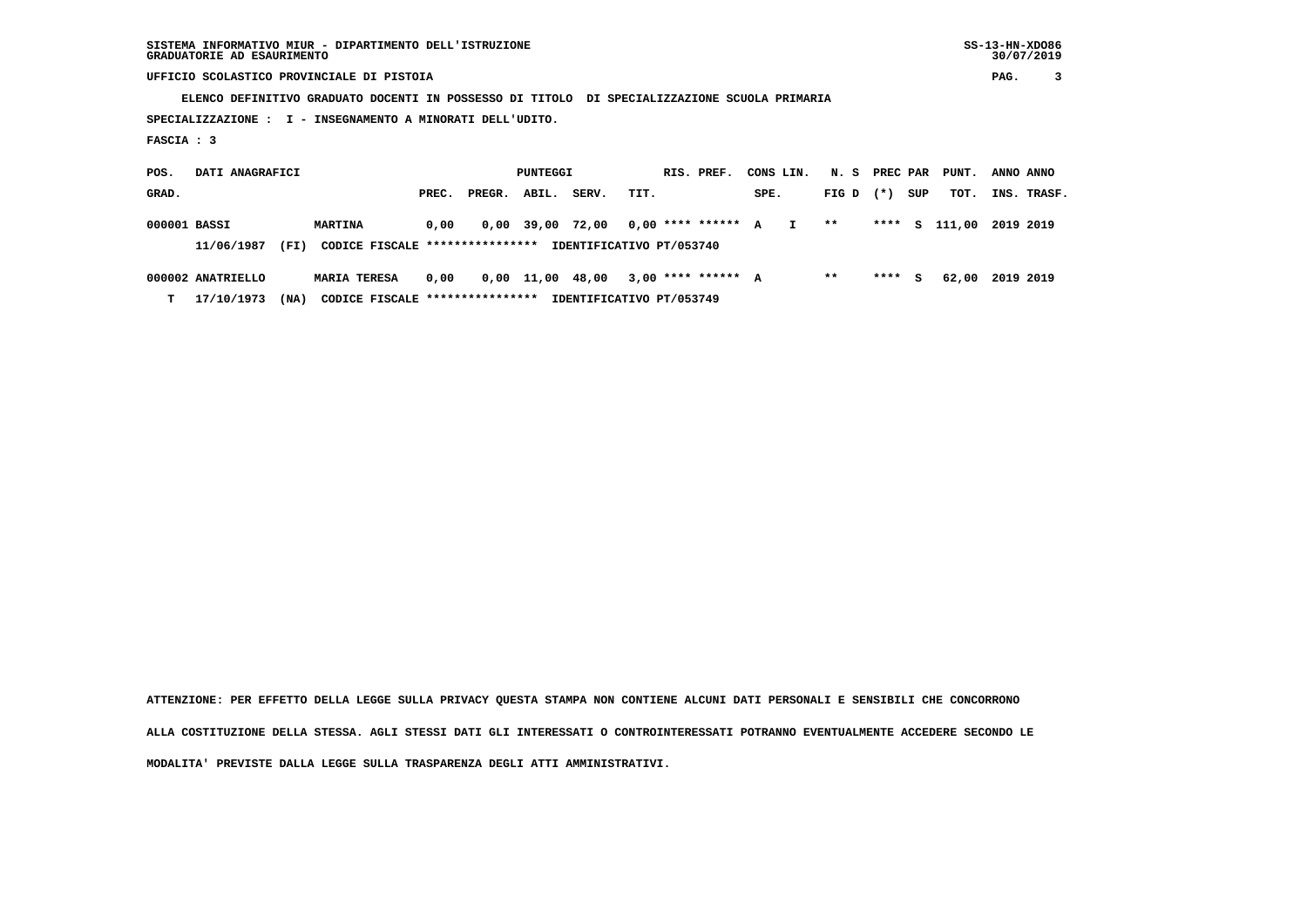**SISTEMA INFORMATIVO MIUR - DIPARTIMENTO DELL'ISTRUZIONE SS-13-HN-XDO86 GRADUATORIE AD ESAURIMENTO 30/07/2019**

 **UFFICIO SCOLASTICO PROVINCIALE DI PISTOIA PAG. 3**

 **ELENCO DEFINITIVO GRADUATO DOCENTI IN POSSESSO DI TITOLO DI SPECIALIZZAZIONE SCUOLA PRIMARIA**

 **SPECIALIZZAZIONE : I - INSEGNAMENTO A MINORATI DELL'UDITO.**

 **FASCIA : 3**

 **POS. DATI ANAGRAFICI PUNTEGGI RIS. PREF. CONS LIN. N. S PREC PAR PUNT. ANNO ANNO GRAD. PREC. PREGR. ABIL. SERV. TIT. SPE. FIG D (\*) SUP TOT. INS. TRASF. 000001 BASSI MARTINA 0,00 0,00 39,00 72,00 0,00 \*\*\*\* \*\*\*\*\*\* A I \*\* \*\*\*\* S 111,00 2019 2019 11/06/1987 (FI) CODICE FISCALE \*\*\*\*\*\*\*\*\*\*\*\*\*\*\*\* IDENTIFICATIVO PT/053740 000002 ANATRIELLO MARIA TERESA 0,00 0,00 11,00 48,00 3,00 \*\*\*\* \*\*\*\*\*\* A \*\* \*\*\*\* S 62,00 2019 2019**

 **T 17/10/1973 (NA) CODICE FISCALE \*\*\*\*\*\*\*\*\*\*\*\*\*\*\*\* IDENTIFICATIVO PT/053749**

 **ATTENZIONE: PER EFFETTO DELLA LEGGE SULLA PRIVACY QUESTA STAMPA NON CONTIENE ALCUNI DATI PERSONALI E SENSIBILI CHE CONCORRONO ALLA COSTITUZIONE DELLA STESSA. AGLI STESSI DATI GLI INTERESSATI O CONTROINTERESSATI POTRANNO EVENTUALMENTE ACCEDERE SECONDO LE MODALITA' PREVISTE DALLA LEGGE SULLA TRASPARENZA DEGLI ATTI AMMINISTRATIVI.**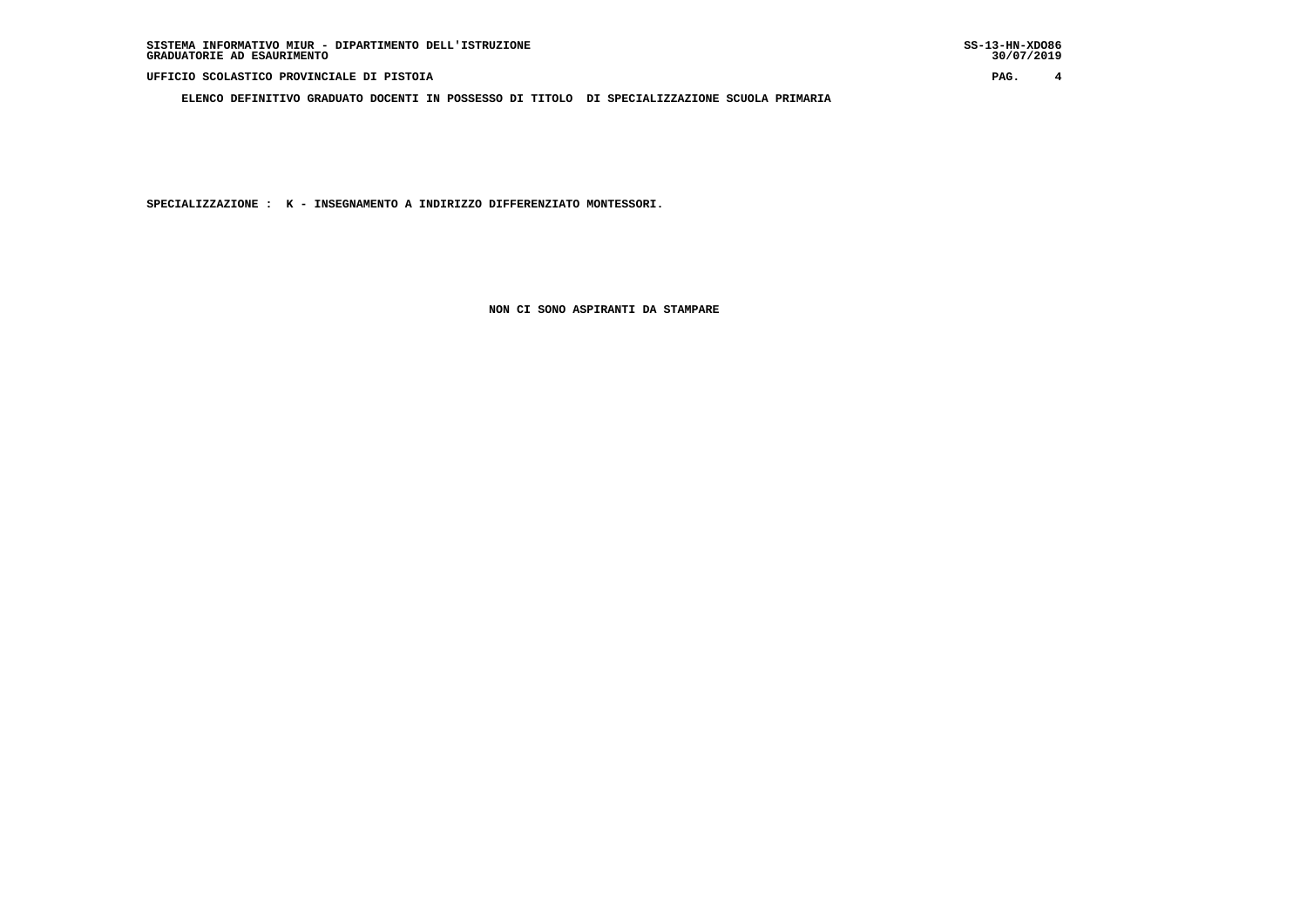**ELENCO DEFINITIVO GRADUATO DOCENTI IN POSSESSO DI TITOLO DI SPECIALIZZAZIONE SCUOLA PRIMARIA**

 **SPECIALIZZAZIONE : K - INSEGNAMENTO A INDIRIZZO DIFFERENZIATO MONTESSORI.**

 **NON CI SONO ASPIRANTI DA STAMPARE**